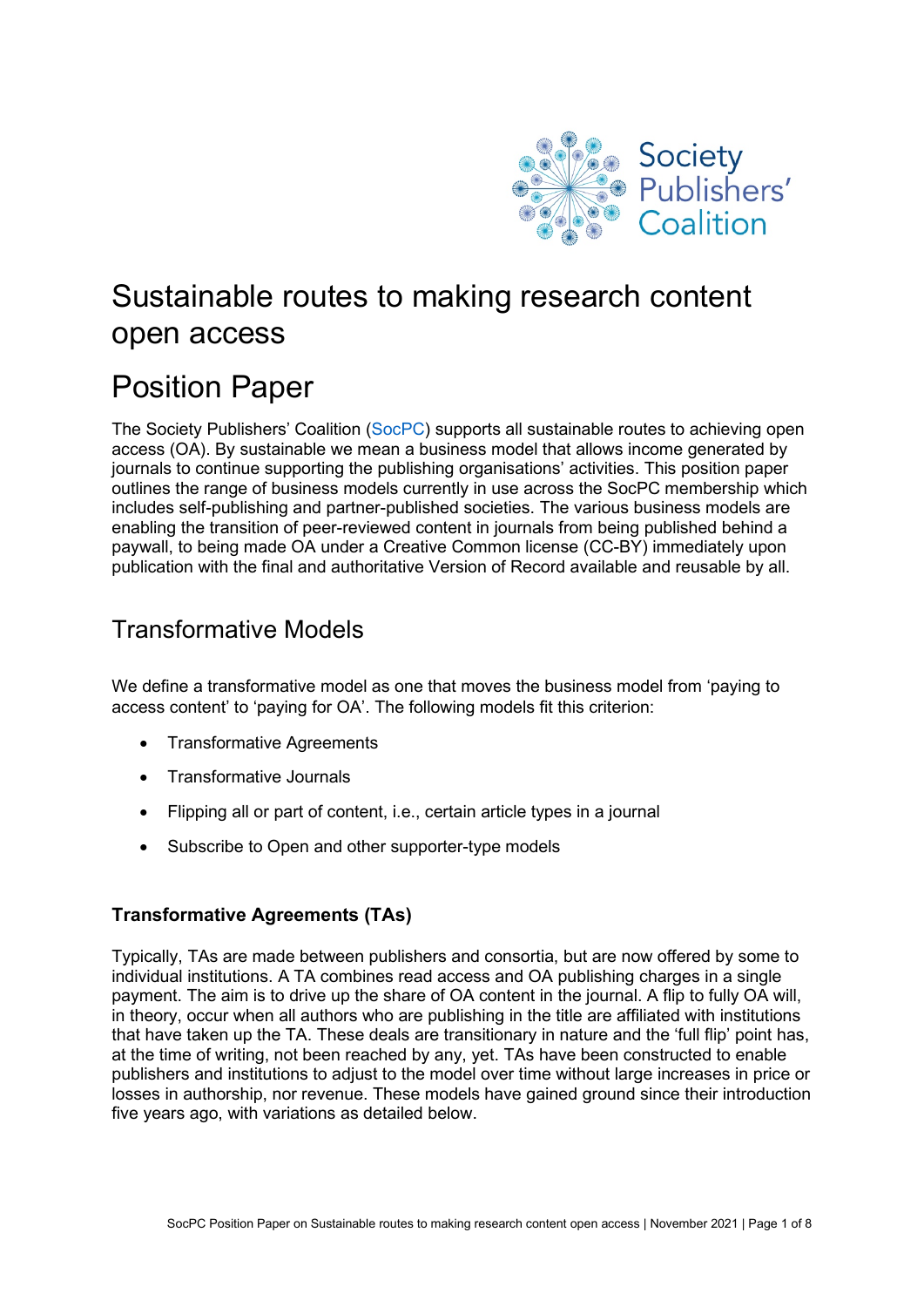

# Sustainable routes to making research content open access

# Position Paper

The Society Publishers' Coalition [\(SocPC\)](http://www.socpc.org/) supports all sustainable routes to achieving open access (OA). By sustainable we mean a business model that allows income generated by journals to continue supporting the publishing organisations' activities. This position paper outlines the range of business models currently in use across the SocPC membership which includes self-publishing and partner-published societies. The various business models are enabling the transition of peer-reviewed content in journals from being published behind a paywall, to being made OA under a Creative Common license (CC-BY) immediately upon publication with the final and authoritative Version of Record available and reusable by all.

# Transformative Models

We define a transformative model as one that moves the business model from 'paying to access content' to 'paying for OA'. The following models fit this criterion:

- Transformative Agreements
- Transformative Journals
- Flipping all or part of content, i.e., certain article types in a journal
- Subscribe to Open and other supporter-type models

### **Transformative Agreements (TAs)**

Typically, TAs are made between publishers and consortia, but are now offered by some to individual institutions. A TA combines read access and OA publishing charges in a single payment. The aim is to drive up the share of OA content in the journal. A flip to fully OA will, in theory, occur when all authors who are publishing in the title are affiliated with institutions that have taken up the TA. These deals are transitionary in nature and the 'full flip' point has, at the time of writing, not been reached by any, yet. TAs have been constructed to enable publishers and institutions to adjust to the model over time without large increases in price or losses in authorship, nor revenue. These models have gained ground since their introduction five years ago, with variations as detailed below.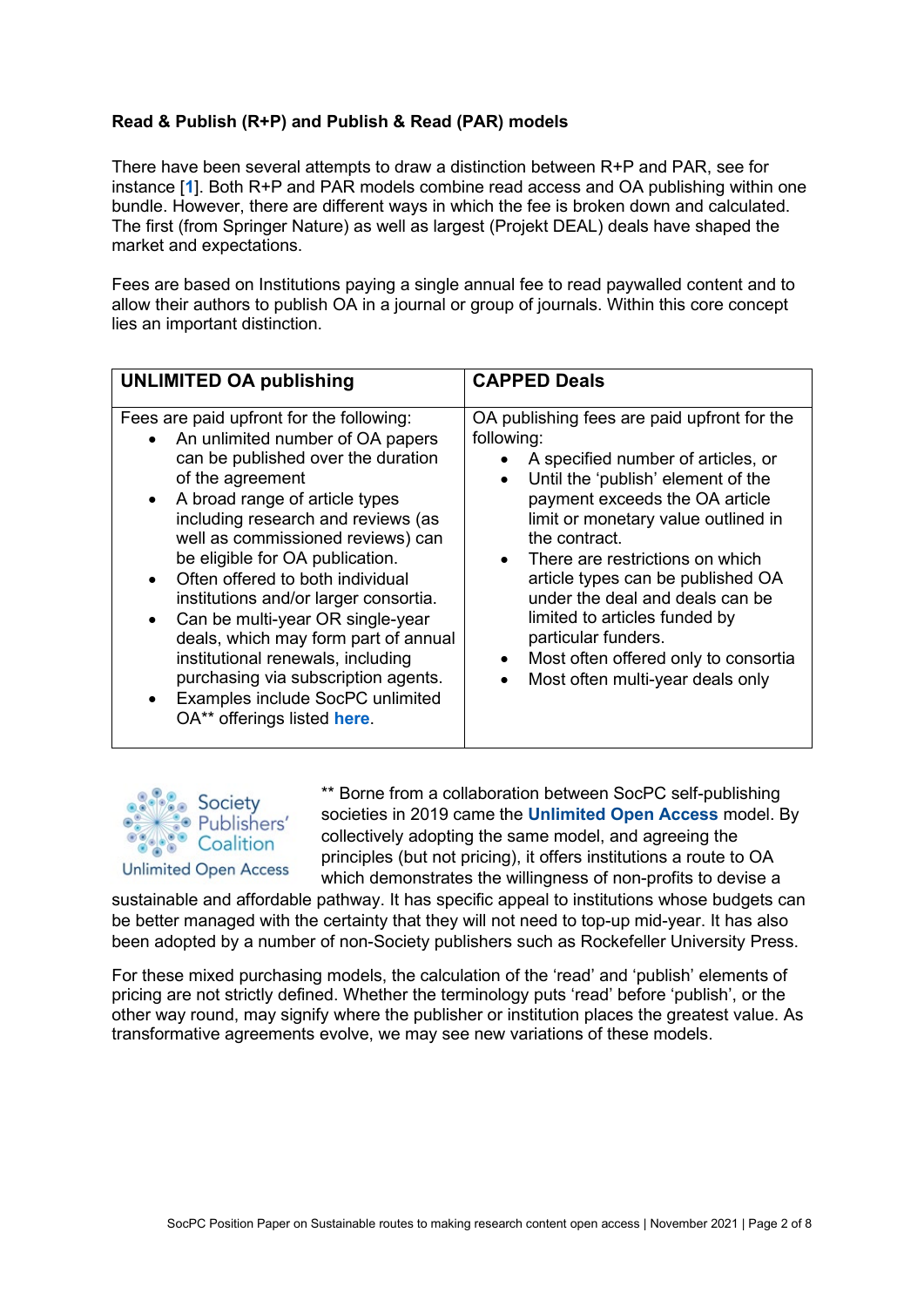#### **Read & Publish (R+P) and Publish & Read (PAR) models**

There have been several attempts to draw a distinction between R+P and PAR, see for instance [**[1](https://scholarlykitchen.sspnet.org/2019/04/23/transformative-agreements/)**]. Both R+P and PAR models combine read access and OA publishing within one bundle. However, there are different ways in which the fee is broken down and calculated. The first (from Springer Nature) as well as largest (Projekt DEAL) deals have shaped the market and expectations.

Fees are based on Institutions paying a single annual fee to read paywalled content and to allow their authors to publish OA in a journal or group of journals. Within this core concept lies an important distinction.

| <b>UNLIMITED OA publishing</b>                                                                                                                                                                                                                                                                                                                                                                                                                                                                                                                                                                              | <b>CAPPED Deals</b>                                                                                                                                                                                                                                                                                                                                                                                                                                                                                      |
|-------------------------------------------------------------------------------------------------------------------------------------------------------------------------------------------------------------------------------------------------------------------------------------------------------------------------------------------------------------------------------------------------------------------------------------------------------------------------------------------------------------------------------------------------------------------------------------------------------------|----------------------------------------------------------------------------------------------------------------------------------------------------------------------------------------------------------------------------------------------------------------------------------------------------------------------------------------------------------------------------------------------------------------------------------------------------------------------------------------------------------|
| Fees are paid upfront for the following:<br>An unlimited number of OA papers<br>can be published over the duration<br>of the agreement<br>A broad range of article types<br>$\bullet$<br>including research and reviews (as<br>well as commissioned reviews) can<br>be eligible for OA publication.<br>Often offered to both individual<br>institutions and/or larger consortia.<br>Can be multi-year OR single-year<br>deals, which may form part of annual<br>institutional renewals, including<br>purchasing via subscription agents.<br>Examples include SocPC unlimited<br>OA** offerings listed here. | OA publishing fees are paid upfront for the<br>following:<br>A specified number of articles, or<br>Until the 'publish' element of the<br>payment exceeds the OA article<br>limit or monetary value outlined in<br>the contract.<br>There are restrictions on which<br>$\bullet$<br>article types can be published OA<br>under the deal and deals can be<br>limited to articles funded by<br>particular funders.<br>Most often offered only to consortia<br>$\bullet$<br>Most often multi-year deals only |



\*\* Borne from a collaboration between SocPC self-publishing societies in 2019 came the **[Unlimited Open Access](https://www.socpc.org/action)** model. By collectively adopting the same model, and agreeing the principles (but not pricing), it offers institutions a route to OA which demonstrates the willingness of non-profits to devise a

sustainable and affordable pathway. It has specific appeal to institutions whose budgets can be better managed with the certainty that they will not need to top-up mid-year. It has also been adopted by a number of non-Society publishers such as Rockefeller University Press.

For these mixed purchasing models, the calculation of the 'read' and 'publish' elements of pricing are not strictly defined. Whether the terminology puts 'read' before 'publish', or the other way round, may signify where the publisher or institution places the greatest value. As transformative agreements evolve, we may see new variations of these models.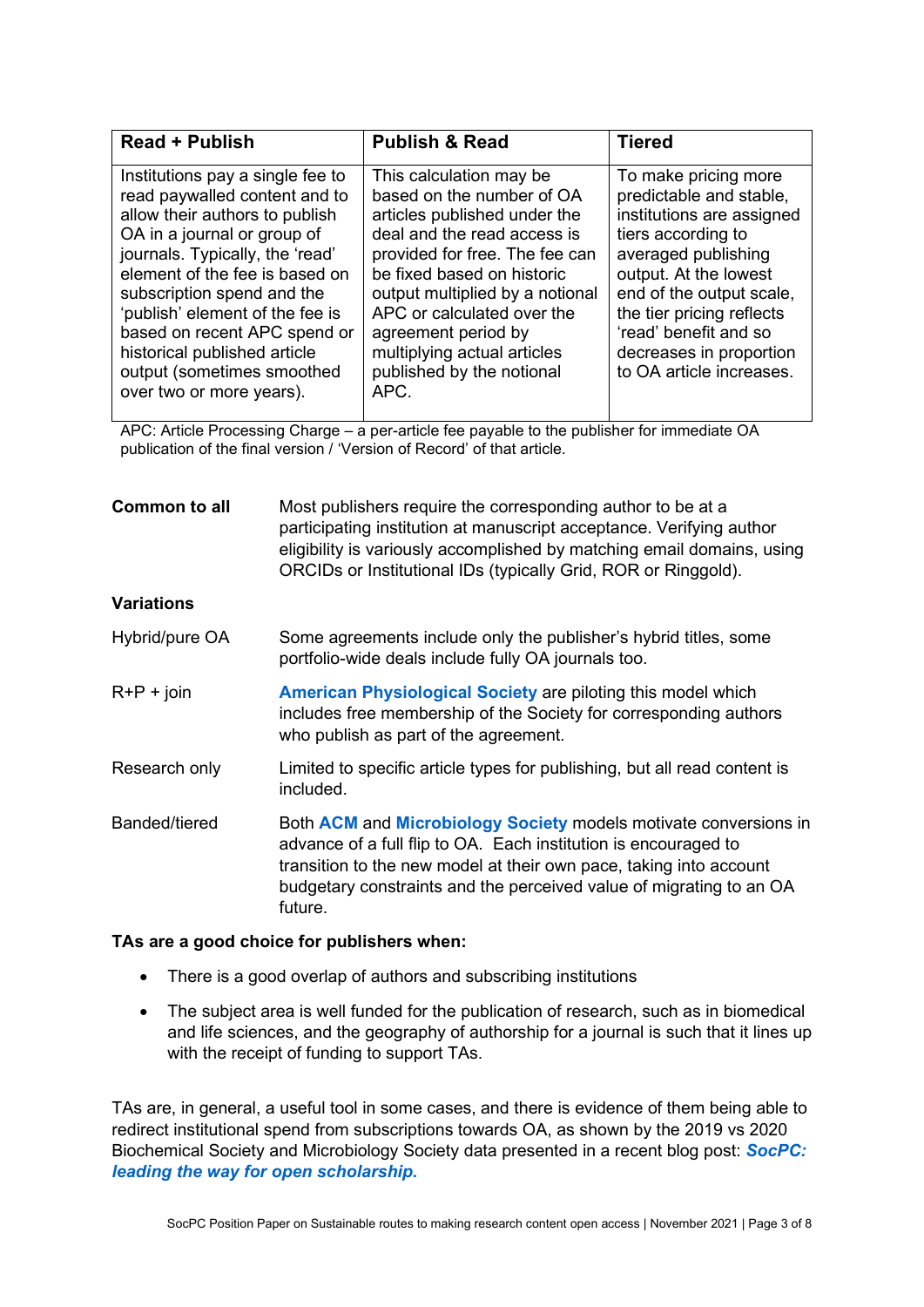| <b>Read + Publish</b>                                                                                                                                                                                                                                                                                                                                                                              | <b>Publish &amp; Read</b>                                                                                                                                                                                                                                                                                                                       | <b>Tiered</b>                                                                                                                                                                                                                                                                               |
|----------------------------------------------------------------------------------------------------------------------------------------------------------------------------------------------------------------------------------------------------------------------------------------------------------------------------------------------------------------------------------------------------|-------------------------------------------------------------------------------------------------------------------------------------------------------------------------------------------------------------------------------------------------------------------------------------------------------------------------------------------------|---------------------------------------------------------------------------------------------------------------------------------------------------------------------------------------------------------------------------------------------------------------------------------------------|
| Institutions pay a single fee to<br>read paywalled content and to<br>allow their authors to publish<br>OA in a journal or group of<br>journals. Typically, the 'read'<br>element of the fee is based on<br>subscription spend and the<br>'publish' element of the fee is<br>based on recent APC spend or<br>historical published article<br>output (sometimes smoothed<br>over two or more years). | This calculation may be<br>based on the number of OA<br>articles published under the<br>deal and the read access is<br>provided for free. The fee can<br>be fixed based on historic<br>output multiplied by a notional<br>APC or calculated over the<br>agreement period by<br>multiplying actual articles<br>published by the notional<br>APC. | To make pricing more<br>predictable and stable,<br>institutions are assigned<br>tiers according to<br>averaged publishing<br>output. At the lowest<br>end of the output scale,<br>the tier pricing reflects<br>'read' benefit and so<br>decreases in proportion<br>to OA article increases. |

APC: Article Processing Charge – a per-article fee payable to the publisher for immediate OA publication of the final version / 'Version of Record' of that article.

| <b>Common to all</b> | Most publishers require the corresponding author to be at a<br>participating institution at manuscript acceptance. Verifying author<br>eligibility is variously accomplished by matching email domains, using<br>ORCIDs or Institutional IDs (typically Grid, ROR or Ringgold).             |
|----------------------|---------------------------------------------------------------------------------------------------------------------------------------------------------------------------------------------------------------------------------------------------------------------------------------------|
| <b>Variations</b>    |                                                                                                                                                                                                                                                                                             |
| Hybrid/pure OA       | Some agreements include only the publisher's hybrid titles, some<br>portfolio-wide deals include fully OA journals too.                                                                                                                                                                     |
| $R+P + join$         | <b>American Physiological Society are piloting this model which</b><br>includes free membership of the Society for corresponding authors<br>who publish as part of the agreement.                                                                                                           |
| Research only        | Limited to specific article types for publishing, but all read content is<br>included.                                                                                                                                                                                                      |
| Banded/tiered        | Both ACM and Microbiology Society models motivate conversions in<br>advance of a full flip to OA. Each institution is encouraged to<br>transition to the new model at their own pace, taking into account<br>budgetary constraints and the perceived value of migrating to an OA<br>future. |

#### **TAs are a good choice for publishers when:**

- There is a good overlap of authors and subscribing institutions
- The subject area is well funded for the publication of research, such as in biomedical and life sciences, and the geography of authorship for a journal is such that it lines up with the receipt of funding to support TAs.

TAs are, in general, a useful tool in some cases, and there is evidence of them being able to redirect institutional spend from subscriptions towards OA, as shown by the 2019 vs 2020 Biochemical Society and Microbiology Society data presented in a recent blog post: *[SocPC:](https://www.socpc.org/post/socpc-leading-the-way-for-open-scholarship)  [leading the way for open scholarship](https://www.socpc.org/post/socpc-leading-the-way-for-open-scholarship)***.**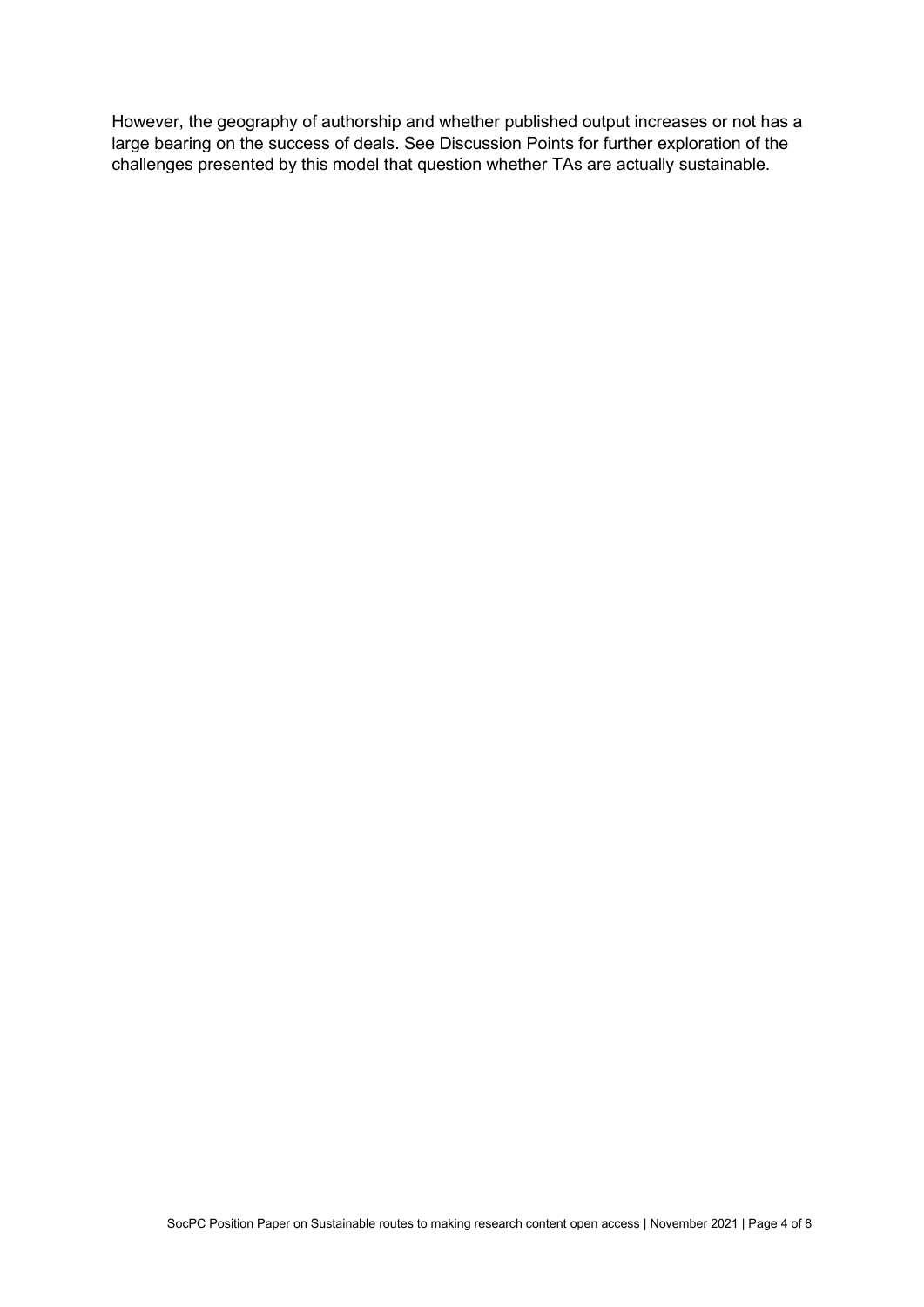However, the geography of authorship and whether published output increases or not has a large bearing on the success of deals. See Discussion Points for further exploration of the challenges presented by this model that question whether TAs are actually sustainable.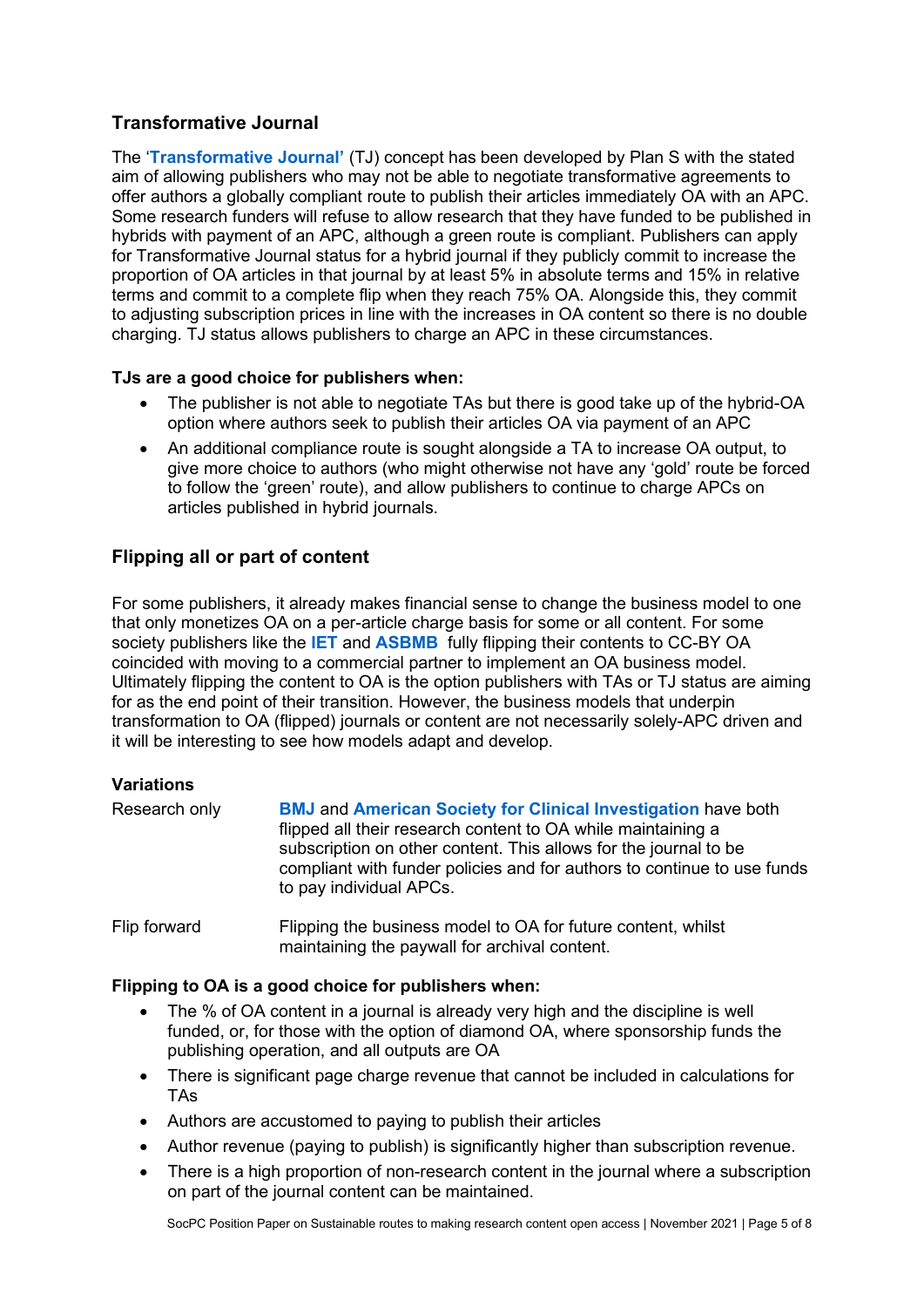### **Transformative Journal**

The '**[Transformative Journal'](https://www.coalition-s.org/transformative-journals-faq/)** (TJ) concept has been developed by Plan S with the stated aim of allowing publishers who may not be able to negotiate transformative agreements to offer authors a globally compliant route to publish their articles immediately OA with an APC. Some research funders will refuse to allow research that they have funded to be published in hybrids with payment of an APC, although a green route is compliant. Publishers can apply for Transformative Journal status for a hybrid journal if they publicly commit to increase the proportion of OA articles in that journal by at least 5% in absolute terms and 15% in relative terms and commit to a complete flip when they reach 75% OA. Alongside this, they commit to adjusting subscription prices in line with the increases in OA content so there is no double charging. TJ status allows publishers to charge an APC in these circumstances.

#### **TJs are a good choice for publishers when:**

- The publisher is not able to negotiate TAs but there is good take up of the hybrid-OA option where authors seek to publish their articles OA via payment of an APC
- An additional compliance route is sought alongside a TA to increase OA output, to give more choice to authors (who might otherwise not have any 'gold' route be forced to follow the 'green' route), and allow publishers to continue to charge APCs on articles published in hybrid journals.

### **Flipping all or part of content**

For some publishers, it already makes financial sense to change the business model to one that only monetizes OA on a per-article charge basis for some or all content. For some society publishers like the **[IET](https://ietresearch.onlinelibrary.wiley.com/)** and **[ASBMB](https://www.elsevier.com/connect/asbmb-to-partner-with-elsevier-to-publish-its-journals-open-access)** fully flipping their contents to CC-BY OA coincided with moving to a commercial partner to implement an OA business model. Ultimately flipping the content to OA is the option publishers with TAs or TJ status are aiming for as the end point of their transition. However, the business models that underpin transformation to OA (flipped) journals or content are not necessarily solely-APC driven and it will be interesting to see how models adapt and develop.

#### **Variations**

| Research only | <b>BMJ</b> and <b>American Society for Clinical Investigation</b> have both<br>flipped all their research content to OA while maintaining a<br>subscription on other content. This allows for the journal to be<br>compliant with funder policies and for authors to continue to use funds<br>to pay individual APCs. |
|---------------|-----------------------------------------------------------------------------------------------------------------------------------------------------------------------------------------------------------------------------------------------------------------------------------------------------------------------|
| Flip forward  | Flipping the business model to OA for future content, whilst<br>maintaining the paywall for archival content.                                                                                                                                                                                                         |

#### **Flipping to OA is a good choice for publishers when:**

- The % of OA content in a journal is already very high and the discipline is well funded, or, for those with the option of diamond OA, where sponsorship funds the publishing operation, and all outputs are OA
- There is significant page charge revenue that cannot be included in calculations for TAs
- Authors are accustomed to paying to publish their articles
- Author revenue (paying to publish) is significantly higher than subscription revenue.
- There is a high proportion of non-research content in the journal where a subscription on part of the journal content can be maintained.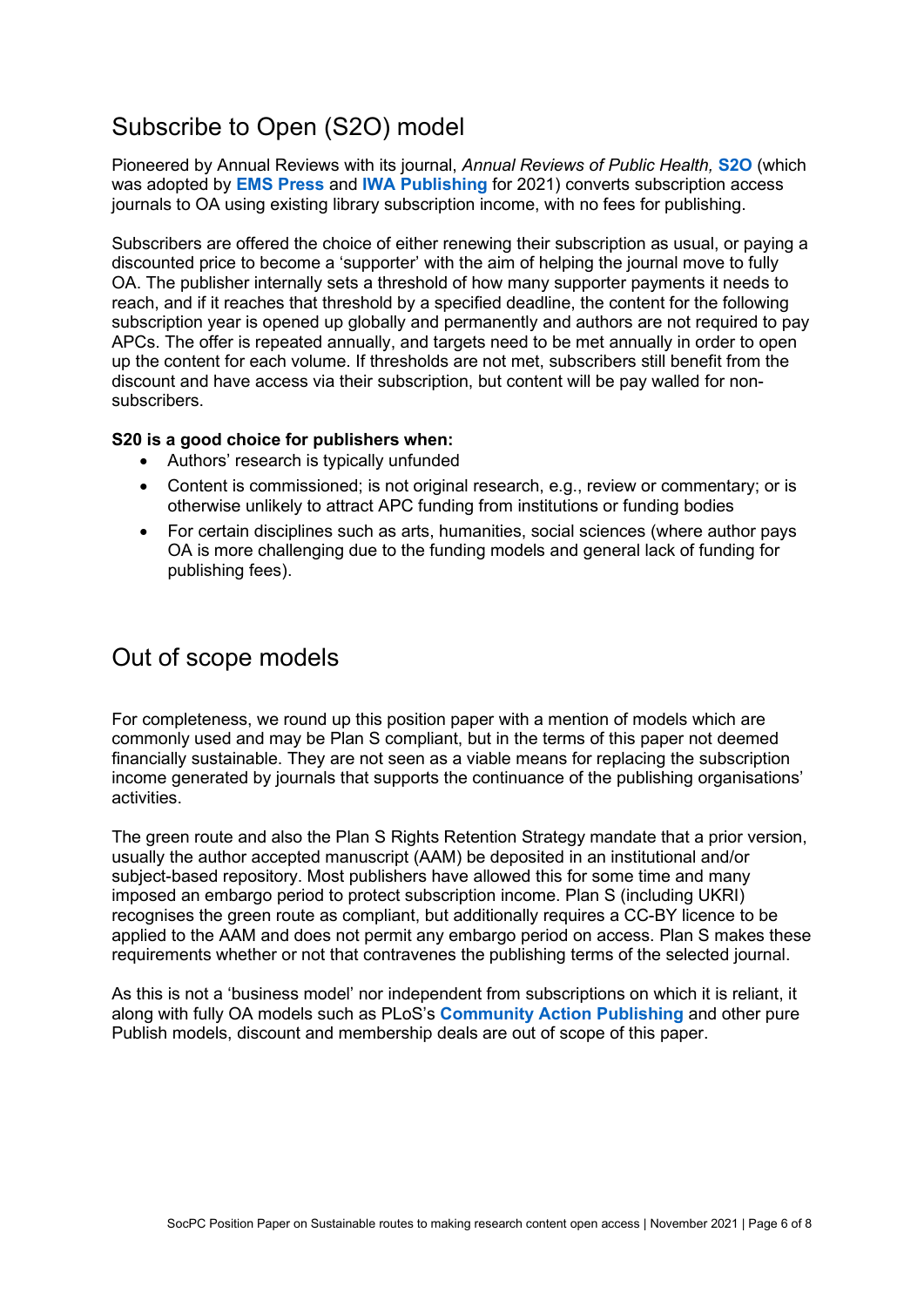# Subscribe to Open (S2O) model

Pioneered by Annual Reviews with its journal, *Annual Reviews of Public Health,* **[S2O](https://www.annualreviews.org/page/subscriptions/subscribe-to-open)** (which was adopted by **[EMS Press](https://ems.press/subscribe-to-open)** and **[IWA Publishing](https://www.iwapublishing.com/news/iwa-publishing-launches-pilot-flip-its-entire-journal-portfolio-open-access)** for 2021) converts subscription access journals to OA using existing library subscription income, with no fees for publishing.

Subscribers are offered the choice of either renewing their subscription as usual, or paying a discounted price to become a 'supporter' with the aim of helping the journal move to fully OA. The publisher internally sets a threshold of how many supporter payments it needs to reach, and if it reaches that threshold by a specified deadline, the content for the following subscription year is opened up globally and permanently and authors are not required to pay APCs. The offer is repeated annually, and targets need to be met annually in order to open up the content for each volume. If thresholds are not met, subscribers still benefit from the discount and have access via their subscription, but content will be pay walled for nonsubscribers.

#### **S20 is a good choice for publishers when:**

- Authors' research is typically unfunded
- Content is commissioned; is not original research, e.g., review or commentary; or is otherwise unlikely to attract APC funding from institutions or funding bodies
- For certain disciplines such as arts, humanities, social sciences (where author pays OA is more challenging due to the funding models and general lack of funding for publishing fees).

### Out of scope models

For completeness, we round up this position paper with a mention of models which are commonly used and may be Plan S compliant, but in the terms of this paper not deemed financially sustainable. They are not seen as a viable means for replacing the subscription income generated by journals that supports the continuance of the publishing organisations' activities.

The green route and also the Plan S Rights Retention Strategy mandate that a prior version, usually the author accepted manuscript (AAM) be deposited in an institutional and/or subject-based repository. Most publishers have allowed this for some time and many imposed an embargo period to protect subscription income. Plan S (including UKRI) recognises the green route as compliant, but additionally requires a CC-BY licence to be applied to the AAM and does not permit any embargo period on access. Plan S makes these requirements whether or not that contravenes the publishing terms of the selected journal.

As this is not a 'business model' nor independent from subscriptions on which it is reliant, it along with fully OA models such as PLoS's **[Community Action Publishing](https://plos.org/resources/community-action-publishing/)** and other pure Publish models, discount and membership deals are out of scope of this paper.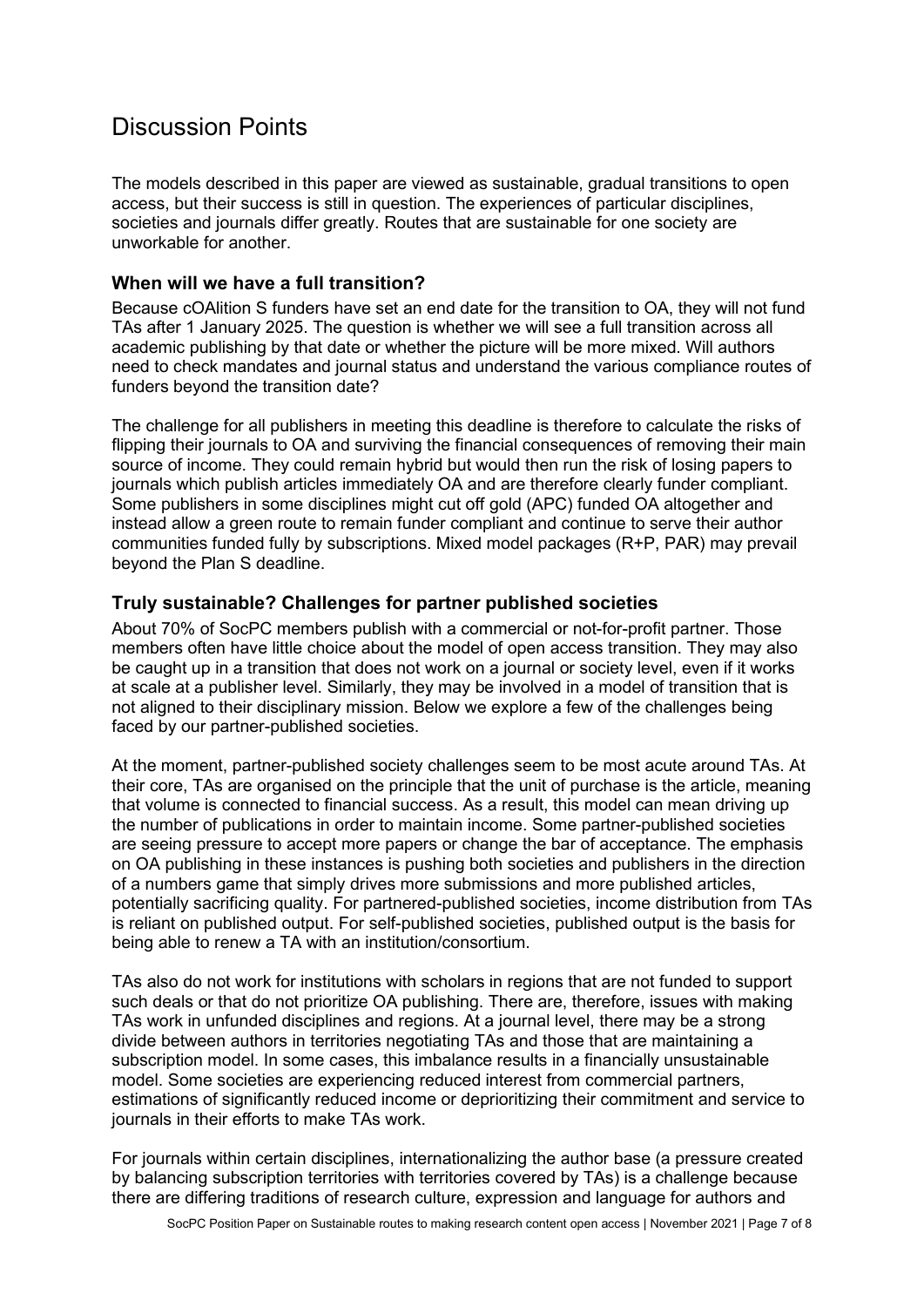## Discussion Points

The models described in this paper are viewed as sustainable, gradual transitions to open access, but their success is still in question. The experiences of particular disciplines, societies and journals differ greatly. Routes that are sustainable for one society are unworkable for another.

#### **When will we have a full transition?**

Because cOAlition S funders have set an end date for the transition to OA, they will not fund TAs after 1 January 2025. The question is whether we will see a full transition across all academic publishing by that date or whether the picture will be more mixed. Will authors need to check mandates and journal status and understand the various compliance routes of funders beyond the transition date?

The challenge for all publishers in meeting this deadline is therefore to calculate the risks of flipping their journals to OA and surviving the financial consequences of removing their main source of income. They could remain hybrid but would then run the risk of losing papers to journals which publish articles immediately OA and are therefore clearly funder compliant. Some publishers in some disciplines might cut off gold (APC) funded OA altogether and instead allow a green route to remain funder compliant and continue to serve their author communities funded fully by subscriptions. Mixed model packages (R+P, PAR) may prevail beyond the Plan S deadline.

#### **Truly sustainable? Challenges for partner published societies**

About 70% of SocPC members publish with a commercial or not-for-profit partner. Those members often have little choice about the model of open access transition. They may also be caught up in a transition that does not work on a journal or society level, even if it works at scale at a publisher level. Similarly, they may be involved in a model of transition that is not aligned to their disciplinary mission. Below we explore a few of the challenges being faced by our partner-published societies.

At the moment, partner-published society challenges seem to be most acute around TAs. At their core, TAs are organised on the principle that the unit of purchase is the article, meaning that volume is connected to financial success. As a result, this model can mean driving up the number of publications in order to maintain income. Some partner-published societies are seeing pressure to accept more papers or change the bar of acceptance. The emphasis on OA publishing in these instances is pushing both societies and publishers in the direction of a numbers game that simply drives more submissions and more published articles, potentially sacrificing quality. For partnered-published societies, income distribution from TAs is reliant on published output. For self-published societies, published output is the basis for being able to renew a TA with an institution/consortium.

TAs also do not work for institutions with scholars in regions that are not funded to support such deals or that do not prioritize OA publishing. There are, therefore, issues with making TAs work in unfunded disciplines and regions. At a journal level, there may be a strong divide between authors in territories negotiating TAs and those that are maintaining a subscription model. In some cases, this imbalance results in a financially unsustainable model. Some societies are experiencing reduced interest from commercial partners, estimations of significantly reduced income or deprioritizing their commitment and service to journals in their efforts to make TAs work.

For journals within certain disciplines, internationalizing the author base (a pressure created by balancing subscription territories with territories covered by TAs) is a challenge because there are differing traditions of research culture, expression and language for authors and